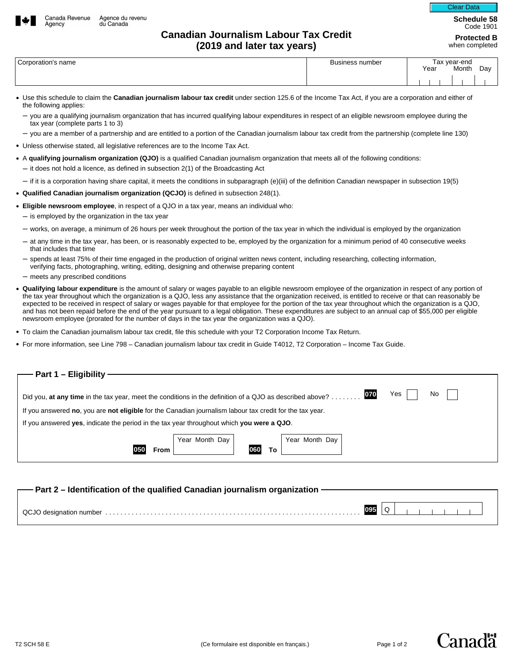

Agency

## **Canadian Journalism Labour Tax Credit (2019 and later tax years)**

**Schedule 58**  Clear Data

Code 1901 **Protected B** 

when completed

| Corporation's name | Business number | Year | <sup>⊤</sup> ax vear-end<br>Month | Day |
|--------------------|-----------------|------|-----------------------------------|-----|
|                    |                 |      |                                   |     |

- Use this schedule to claim the **Canadian journalism labour tax credit** under section 125.6 of the Income Tax Act, if you are a corporation and either of the following applies:
	- you are a qualifying journalism organization that has incurred qualifying labour expenditures in respect of an eligible newsroom employee during the tax year (complete parts 1 to 3)
	- you are a member of a partnership and are entitled to a portion of the Canadian journalism labour tax credit from the partnership (complete line 130)
- Unless otherwise stated, all legislative references are to the Income Tax Act.
- A **qualifying journalism organization (QJO)** is a qualified Canadian journalism organization that meets all of the following conditions:
	- $-$  it does not hold a licence, as defined in subsection 2(1) of the Broadcasting Act
	- if it is a corporation having share capital, it meets the conditions in subparagraph (e)(iii) of the definition Canadian newspaper in subsection 19(5)
- **Qualified Canadian journalism organization (QCJO)** is defined in subsection 248(1).
- **Eligible newsroom employee**, in respect of a QJO in a tax year, means an individual who:
	- $-$  is employed by the organization in the tax year
	- works, on average, a minimum of 26 hours per week throughout the portion of the tax year in which the individual is employed by the organization
	- at any time in the tax year, has been, or is reasonably expected to be, employed by the organization for a minimum period of 40 consecutive weeks that includes that time
	- spends at least 75% of their time engaged in the production of original written news content, including researching, collecting information, verifying facts, photographing, writing, editing, designing and otherwise preparing content
	- meets any prescribed conditions
- **Qualifying labour expenditure** is the amount of salary or wages payable to an eligible newsroom employee of the organization in respect of any portion of the tax year throughout which the organization is a QJO, less any assistance that the organization received, is entitled to receive or that can reasonably be expected to be received in respect of salary or wages payable for that employee for the portion of the tax year throughout which the organization is a QJO, and has not been repaid before the end of the year pursuant to a legal obligation. These expenditures are subject to an annual cap of \$55,000 per eligible newsroom employee (prorated for the number of days in the tax year the organization was a QJO).
- To claim the Canadian journalism labour tax credit, file this schedule with your T2 Corporation Income Tax Return.
- For more information, see Line 798 Canadian journalism labour tax credit in Guide T4012, T2 Corporation Income Tax Guide.

| Part 1 - Eligibility -                                                                                                        |  |  |  |  |  |  |  |
|-------------------------------------------------------------------------------------------------------------------------------|--|--|--|--|--|--|--|
|                                                                                                                               |  |  |  |  |  |  |  |
|                                                                                                                               |  |  |  |  |  |  |  |
| Yes<br>070<br>No<br>Did you, at any time in the tax year, meet the conditions in the definition of a QJO as described above?. |  |  |  |  |  |  |  |
|                                                                                                                               |  |  |  |  |  |  |  |
| If you answered no, you are not eligible for the Canadian journalism labour tax credit for the tax year.                      |  |  |  |  |  |  |  |
| If you answered yes, indicate the period in the tax year throughout which you were a QJO.                                     |  |  |  |  |  |  |  |
| Year Month Day<br>Year Month Day                                                                                              |  |  |  |  |  |  |  |
|                                                                                                                               |  |  |  |  |  |  |  |
| 060<br>050<br>To.<br>From                                                                                                     |  |  |  |  |  |  |  |
|                                                                                                                               |  |  |  |  |  |  |  |
|                                                                                                                               |  |  |  |  |  |  |  |

Canadä